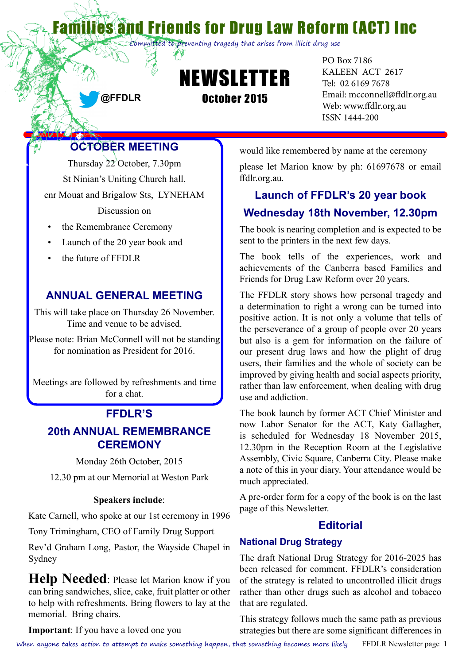and Friends for Drug Law Reform (ACT) Inc

Committed to preventing tragedy that arises from illicit drug use



PO Box 7186 KALEEN ACT 2617 Tel: 02 6169 7678 Email: [mcconnell@ffdlr.org.au](mailto:mcconnell@ffdlr.org.au) Web: www.ffdlr.org.au ISSN 1444-200

# **OCTOBER MEETING**

**@FFDLR**

Thursday 22 October, 7.30pm St Ninian's Uniting Church hall, cnr Mouat and Brigalow Sts, LYNEHAM

Discussion on

- the Remembrance Ceremony
- • Launch of the 20 year book and
- the future of FFDLR

#### **ANNUAL GENERAL MEETING**

This will take place on Thursday 26 November. Time and venue to be advised.

Please note: Brian McConnell will not be standing for nomination as President for 2016.

Meetings are followed by refreshments and time for a chat.

# **FFDLR'S**

## **20th ANNUAL REMEMBRANCE CEREMONY**

Monday 26th October, 2015

12.30 pm at our Memorial at Weston Park

#### **Speakers include**:

Kate Carnell, who spoke at our 1st ceremony in 1996

Tony Trimingham, CEO of Family Drug Support

Rev'd Graham Long, Pastor, the Wayside Chapel in Sydney

**Help Needed**: Please let Marion know if you can bring sandwiches, slice, cake, fruit platter or other to help with refreshments. Bring flowers to lay at the memorial. Bring chairs.

would like remembered by name at the ceremony

please let Marion know by ph: 61697678 or email ffdlr.org.au.

# **Launch of FFDLR's 20 year book Wednesday 18th November, 12.30pm**

The book is nearing completion and is expected to be sent to the printers in the next few days.

The book tells of the experiences, work and achievements of the Canberra based Families and Friends for Drug Law Reform over 20 years.

The FFDLR story shows how personal tragedy and a determination to right a wrong can be turned into positive action. It is not only a volume that tells of the perseverance of a group of people over 20 years but also is a gem for information on the failure of our present drug laws and how the plight of drug users, their families and the whole of society can be improved by giving health and social aspects priority, rather than law enforcement, when dealing with drug use and addiction.

The book launch by former ACT Chief Minister and now Labor Senator for the ACT, Katy Gallagher, is scheduled for Wednesday 18 November 2015, 12.30pm in the Reception Room at the Legislative Assembly, Civic Square, Canberra City. Please make a note of this in your diary. Your attendance would be much appreciated.

A pre-order form for a copy of the book is on the last page of this Newsletter.

#### **Editorial**

#### **National Drug Strategy**

The draft National Drug Strategy for 2016-2025 has been released for comment. FFDLR's consideration of the strategy is related to uncontrolled illicit drugs rather than other drugs such as alcohol and tobacco that are regulated.

This strategy follows much the same path as previous strategies but there are some significant differences in

**Important**: If you have a loved one you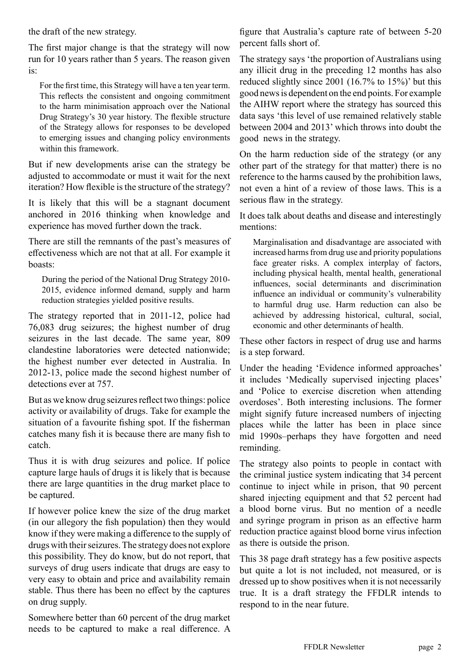the draft of the new strategy.

The first major change is that the strategy will now run for 10 years rather than 5 years. The reason given is:

For the first time, this Strategy will have a ten year term. This reflects the consistent and ongoing commitment to the harm minimisation approach over the National Drug Strategy's 30 year history. The flexible structure of the Strategy allows for responses to be developed to emerging issues and changing policy environments within this framework.

But if new developments arise can the strategy be adjusted to accommodate or must it wait for the next iteration? How flexible is the structure of the strategy?

It is likely that this will be a stagnant document anchored in 2016 thinking when knowledge and experience has moved further down the track.

There are still the remnants of the past's measures of effectiveness which are not that at all. For example it boasts:

During the period of the National Drug Strategy 2010- 2015, evidence informed demand, supply and harm reduction strategies yielded positive results.

The strategy reported that in 2011-12, police had 76,083 drug seizures; the highest number of drug seizures in the last decade. The same year, 809 clandestine laboratories were detected nationwide; the highest number ever detected in Australia. In 2012-13, police made the second highest number of detections ever at 757.

But as we know drug seizures reflect two things: police activity or availability of drugs. Take for example the situation of a favourite fishing spot. If the fisherman catches many fish it is because there are many fish to catch.

Thus it is with drug seizures and police. If police capture large hauls of drugs it is likely that is because there are large quantities in the drug market place to be captured.

If however police knew the size of the drug market (in our allegory the fish population) then they would know if they were making a difference to the supply of drugs with their seizures. The strategy does not explore this possibility. They do know, but do not report, that surveys of drug users indicate that drugs are easy to very easy to obtain and price and availability remain stable. Thus there has been no effect by the captures on drug supply.

Somewhere better than 60 percent of the drug market needs to be captured to make a real difference. A

figure that Australia's capture rate of between 5-20 percent falls short of.

The strategy says 'the proportion of Australians using any illicit drug in the preceding 12 months has also reduced slightly since 2001 (16.7% to 15%)' but this good news is dependent on the end points. For example the AIHW report where the strategy has sourced this data says 'this level of use remained relatively stable between 2004 and 2013' which throws into doubt the good news in the strategy.

On the harm reduction side of the strategy (or any other part of the strategy for that matter) there is no reference to the harms caused by the prohibition laws, not even a hint of a review of those laws. This is a serious flaw in the strategy.

It does talk about deaths and disease and interestingly mentions:

Marginalisation and disadvantage are associated with increased harms from drug use and priority populations face greater risks. A complex interplay of factors, including physical health, mental health, generational influences, social determinants and discrimination influence an individual or community's vulnerability to harmful drug use. Harm reduction can also be achieved by addressing historical, cultural, social, economic and other determinants of health.

These other factors in respect of drug use and harms is a step forward.

Under the heading 'Evidence informed approaches' it includes 'Medically supervised injecting places' and 'Police to exercise discretion when attending overdoses'. Both interesting inclusions. The former might signify future increased numbers of injecting places while the latter has been in place since mid 1990s–perhaps they have forgotten and need reminding.

The strategy also points to people in contact with the criminal justice system indicating that 34 percent continue to inject while in prison, that 90 percent shared injecting equipment and that 52 percent had a blood borne virus. But no mention of a needle and syringe program in prison as an effective harm reduction practice against blood borne virus infection as there is outside the prison.

This 38 page draft strategy has a few positive aspects but quite a lot is not included, not measured, or is dressed up to show positives when it is not necessarily true. It is a draft strategy the FFDLR intends to respond to in the near future.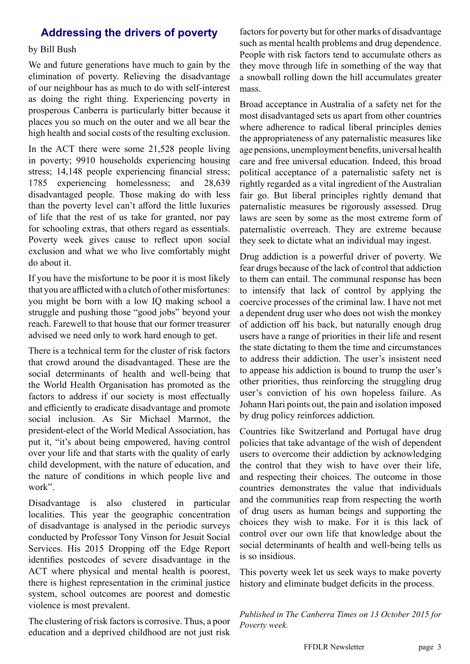# **Addressing the drivers of poverty**

#### by Bill Bush

We and future generations have much to gain by the elimination of poverty. Relieving the disadvantage of our neighbour has as much to do with self-interest as doing the right thing. Experiencing poverty in prosperous Canberra is particularly bitter because it places you so much on the outer and we all bear the high health and social costs of the resulting exclusion.

In the ACT there were some 21,528 people living in poverty; 9910 households experiencing housing stress; 14,148 people experiencing financial stress; 1785 experiencing homelessness; and 28,639 disadvantaged people. Those making do with less than the poverty level can't afford the little luxuries of life that the rest of us take for granted, nor pay for schooling extras, that others regard as essentials. Poverty week gives cause to reflect upon social exclusion and what we who live comfortably might do about it.

If you have the misfortune to be poor it is most likely that you are afflicted with a clutch of other misfortunes: you might be born with a low IQ making school a struggle and pushing those "good jobs" beyond your reach. Farewell to that house that our former treasurer advised we need only to work hard enough to get.

There is a technical term for the cluster of risk factors that crowd around the disadvantaged. These are the social determinants of health and well-being that the World Health Organisation has promoted as the factors to address if our society is most effectually and efficiently to eradicate disadvantage and promote social inclusion. As Sir Michael Marmot, the president-elect of the World Medical Association, has put it, "it's about being empowered, having control over your life and that starts with the quality of early child development, with the nature of education, and the nature of conditions in which people live and work".

Disadvantage is also clustered in particular localities. This year the geographic concentration of disadvantage is analysed in the periodic surveys conducted by Professor Tony Vinson for Jesuit Social Services. His 2015 Dropping off the Edge Report identifies postcodes of severe disadvantage in the ACT where physical and mental health is poorest, there is highest representation in the criminal justice system, school outcomes are poorest and domestic violence is most prevalent.

The clustering of risk factors is corrosive. Thus, a poor education and a deprived childhood are not just risk factors for poverty but for other marks of disadvantage such as mental health problems and drug dependence. People with risk factors tend to accumulate others as they move through life in something of the way that a snowball rolling down the hill accumulates greater mass.

Broad acceptance in Australia of a safety net for the most disadvantaged sets us apart from other countries where adherence to radical liberal principles denies the appropriateness of any paternalistic measures like age pensions, unemployment benefits, universal health care and free universal education. Indeed, this broad political acceptance of a paternalistic safety net is rightly regarded as a vital ingredient of the Australian fair go. But liberal principles rightly demand that paternalistic measures be rigorously assessed. Drug laws are seen by some as the most extreme form of paternalistic overreach. They are extreme because they seek to dictate what an individual may ingest.

Drug addiction is a powerful driver of poverty. We fear drugs because of the lack of control that addiction to them can entail. The communal response has been to intensify that lack of control by applying the coercive processes of the criminal law. I have not met a dependent drug user who does not wish the monkey of addiction off his back, but naturally enough drug users have a range of priorities in their life and resent the state dictating to them the time and circumstances to address their addiction. The user's insistent need to appease his addiction is bound to trump the user's other priorities, thus reinforcing the struggling drug user's conviction of his own hopeless failure. As Johann Hari points out, the pain and isolation imposed by drug policy reinforces addiction.

Countries like Switzerland and Portugal have drug policies that take advantage of the wish of dependent users to overcome their addiction by acknowledging the control that they wish to have over their life, and respecting their choices. The outcome in those countries demonstrates the value that individuals and the communities reap from respecting the worth of drug users as human beings and supporting the choices they wish to make. For it is this lack of control over our own life that knowledge about the social determinants of health and well-being tells us is so insidious.

This poverty week let us seek ways to make poverty history and eliminate budget deficits in the process.

*Published in The Canberra Times on 13 October 2015 for Poverty week.*